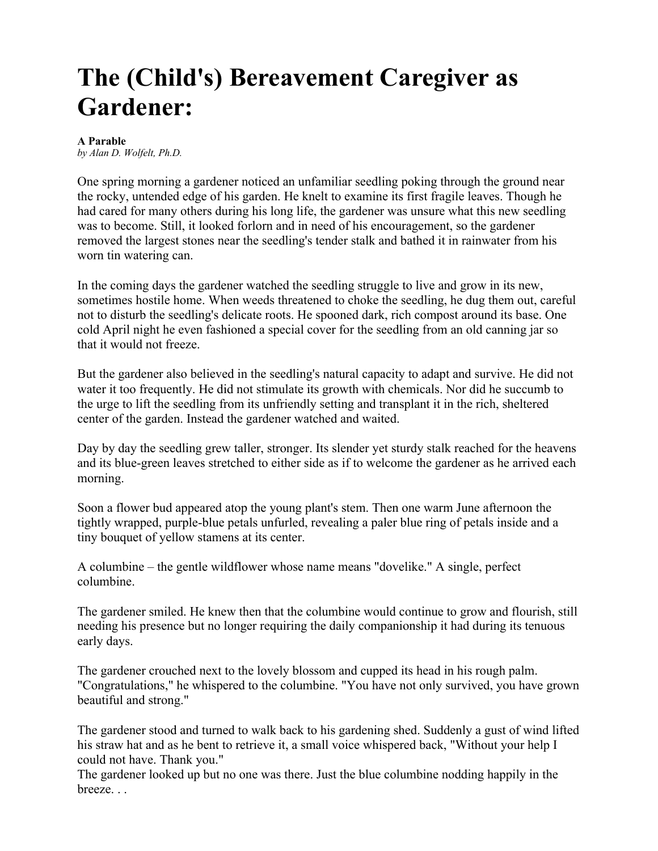## **The (Child's) Bereavement Caregiver as Gardener:**

## **A Parable**

*by Alan D. Wolfelt, Ph.D.*

One spring morning a gardener noticed an unfamiliar seedling poking through the ground near the rocky, untended edge of his garden. He knelt to examine its first fragile leaves. Though he had cared for many others during his long life, the gardener was unsure what this new seedling was to become. Still, it looked forlorn and in need of his encouragement, so the gardener removed the largest stones near the seedling's tender stalk and bathed it in rainwater from his worn tin watering can.

In the coming days the gardener watched the seedling struggle to live and grow in its new, sometimes hostile home. When weeds threatened to choke the seedling, he dug them out, careful not to disturb the seedling's delicate roots. He spooned dark, rich compost around its base. One cold April night he even fashioned a special cover for the seedling from an old canning jar so that it would not freeze.

But the gardener also believed in the seedling's natural capacity to adapt and survive. He did not water it too frequently. He did not stimulate its growth with chemicals. Nor did he succumb to the urge to lift the seedling from its unfriendly setting and transplant it in the rich, sheltered center of the garden. Instead the gardener watched and waited.

Day by day the seedling grew taller, stronger. Its slender yet sturdy stalk reached for the heavens and its blue-green leaves stretched to either side as if to welcome the gardener as he arrived each morning.

Soon a flower bud appeared atop the young plant's stem. Then one warm June afternoon the tightly wrapped, purple-blue petals unfurled, revealing a paler blue ring of petals inside and a tiny bouquet of yellow stamens at its center.

A columbine – the gentle wildflower whose name means "dovelike." A single, perfect columbine.

The gardener smiled. He knew then that the columbine would continue to grow and flourish, still needing his presence but no longer requiring the daily companionship it had during its tenuous early days.

The gardener crouched next to the lovely blossom and cupped its head in his rough palm. "Congratulations," he whispered to the columbine. "You have not only survived, you have grown beautiful and strong."

The gardener stood and turned to walk back to his gardening shed. Suddenly a gust of wind lifted his straw hat and as he bent to retrieve it, a small voice whispered back, "Without your help I could not have. Thank you."

The gardener looked up but no one was there. Just the blue columbine nodding happily in the breeze. . .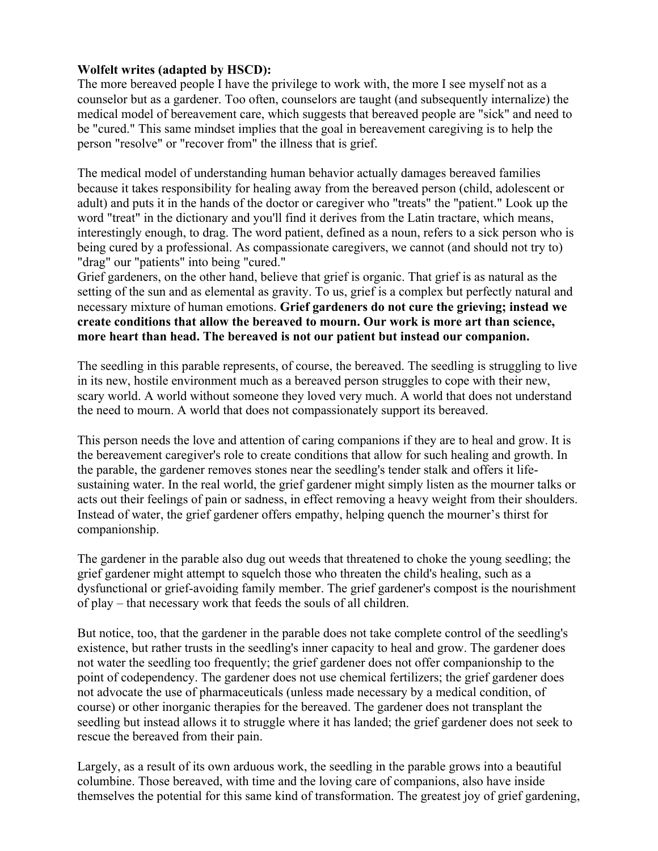## **Wolfelt writes (adapted by HSCD):**

The more bereaved people I have the privilege to work with, the more I see myself not as a counselor but as a gardener. Too often, counselors are taught (and subsequently internalize) the medical model of bereavement care, which suggests that bereaved people are "sick" and need to be "cured." This same mindset implies that the goal in bereavement caregiving is to help the person "resolve" or "recover from" the illness that is grief.

The medical model of understanding human behavior actually damages bereaved families because it takes responsibility for healing away from the bereaved person (child, adolescent or adult) and puts it in the hands of the doctor or caregiver who "treats" the "patient." Look up the word "treat" in the dictionary and you'll find it derives from the Latin tractare, which means, interestingly enough, to drag. The word patient, defined as a noun, refers to a sick person who is being cured by a professional. As compassionate caregivers, we cannot (and should not try to) "drag" our "patients" into being "cured."

Grief gardeners, on the other hand, believe that grief is organic. That grief is as natural as the setting of the sun and as elemental as gravity. To us, grief is a complex but perfectly natural and necessary mixture of human emotions. **Grief gardeners do not cure the grieving; instead we create conditions that allow the bereaved to mourn. Our work is more art than science, more heart than head. The bereaved is not our patient but instead our companion.**

The seedling in this parable represents, of course, the bereaved. The seedling is struggling to live in its new, hostile environment much as a bereaved person struggles to cope with their new, scary world. A world without someone they loved very much. A world that does not understand the need to mourn. A world that does not compassionately support its bereaved.

This person needs the love and attention of caring companions if they are to heal and grow. It is the bereavement caregiver's role to create conditions that allow for such healing and growth. In the parable, the gardener removes stones near the seedling's tender stalk and offers it lifesustaining water. In the real world, the grief gardener might simply listen as the mourner talks or acts out their feelings of pain or sadness, in effect removing a heavy weight from their shoulders. Instead of water, the grief gardener offers empathy, helping quench the mourner's thirst for companionship.

The gardener in the parable also dug out weeds that threatened to choke the young seedling; the grief gardener might attempt to squelch those who threaten the child's healing, such as a dysfunctional or grief-avoiding family member. The grief gardener's compost is the nourishment of play – that necessary work that feeds the souls of all children.

But notice, too, that the gardener in the parable does not take complete control of the seedling's existence, but rather trusts in the seedling's inner capacity to heal and grow. The gardener does not water the seedling too frequently; the grief gardener does not offer companionship to the point of codependency. The gardener does not use chemical fertilizers; the grief gardener does not advocate the use of pharmaceuticals (unless made necessary by a medical condition, of course) or other inorganic therapies for the bereaved. The gardener does not transplant the seedling but instead allows it to struggle where it has landed; the grief gardener does not seek to rescue the bereaved from their pain.

Largely, as a result of its own arduous work, the seedling in the parable grows into a beautiful columbine. Those bereaved, with time and the loving care of companions, also have inside themselves the potential for this same kind of transformation. The greatest joy of grief gardening,